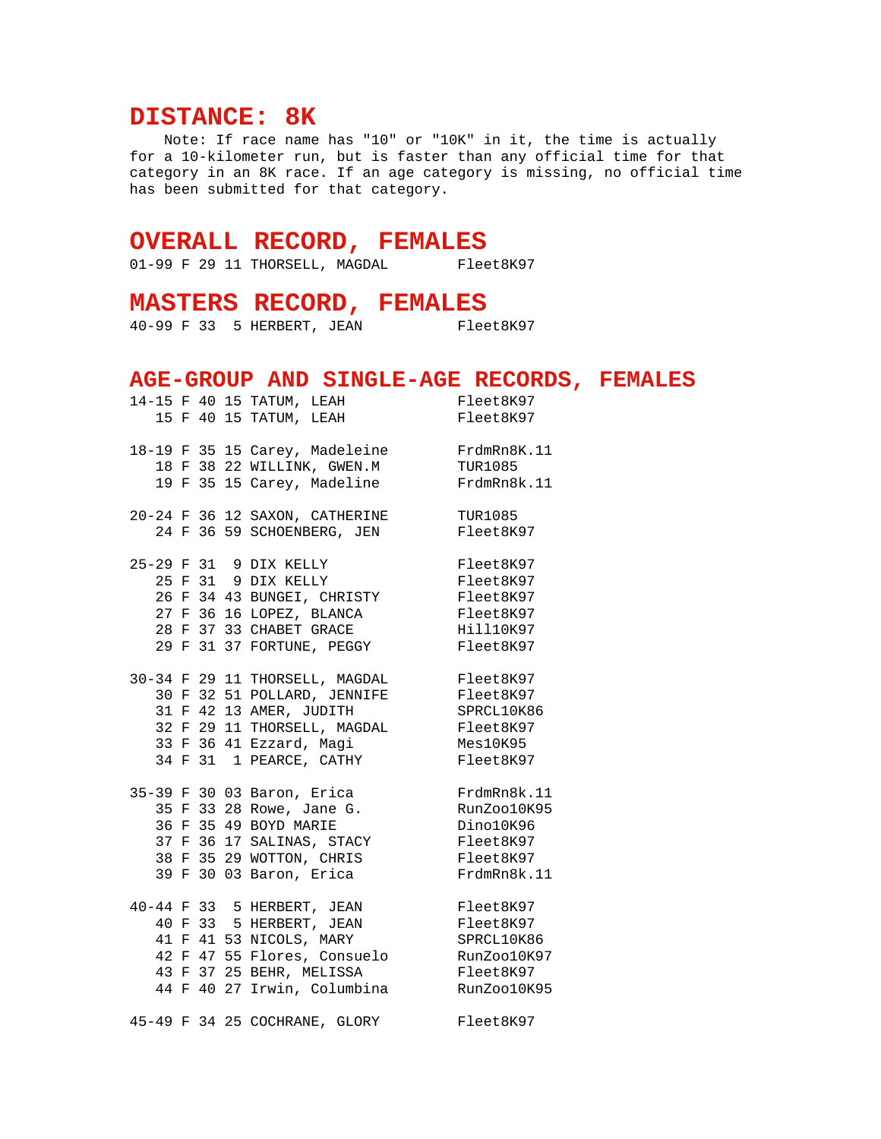## **DISTANCE: 8K**

 Note: If race name has "10" or "10K" in it, the time is actually for a 10-kilometer run, but is faster than any official time for that category in an 8K race. If an age category is missing, no official time has been submitted for that category.

## **OVERALL RECORD, FEMALES**

01-99 F 29 11 THORSELL, MAGDAL Fleet8K97

## **MASTERS RECORD, FEMALES**

40-99 F 33 5 HERBERT, JEAN Fleet8K97

## **AGE-GROUP AND SINGLE-AGE RECORDS, FEMALES**

|  |  | 14-15 F 40 15 TATUM, LEAH                                                                                   | Fleet8K97      |
|--|--|-------------------------------------------------------------------------------------------------------------|----------------|
|  |  | 15 F 40 15 TATUM, LEAH                                                                                      | Fleet8K97      |
|  |  |                                                                                                             |                |
|  |  | 18-19 F 35 15 Carey, Madeleine FrdmRn8K.11                                                                  |                |
|  |  | 18 F 38 22 WILLINK, GWEN.M TUR1085                                                                          |                |
|  |  | 19 F 35 15 Carey, Madeline                                                                                  | FrdmRn8k.11    |
|  |  |                                                                                                             |                |
|  |  | 20-24 F 36 12 SAXON, CATHERINE                                                                              | <b>TUR1085</b> |
|  |  | 24 F 36 59 SCHOENBERG, JEN                                                                                  | Fleet8K97      |
|  |  |                                                                                                             |                |
|  |  | 25-29 F 31 9 DIX KELLY                                                                                      | Fleet8K97      |
|  |  | 25 F 31 9 DIX KELLY                                                                                         | Fleet8K97      |
|  |  |                                                                                                             | Fleet8K97      |
|  |  |                                                                                                             | Fleet8K97      |
|  |  | 26 F 34 43 BUNGEI, CHRISTY<br>27 F 36 16 LOPEZ, BLANCA<br>28 F 37 33 CHABET GRACE                           | Hill10K97      |
|  |  | 29 F 31 37 FORTUNE, PEGGY                                                                                   | Fleet8K97      |
|  |  |                                                                                                             |                |
|  |  | 30-34 F 29 11 THORSELL, MAGDAL Fleet8K97                                                                    |                |
|  |  | 30 F 32 51 POLLARD, JENNIFE Fleet8K97                                                                       |                |
|  |  | 31 F 42 13 AMER, JUDITH                                                                                     | SPRCL10K86     |
|  |  | 32 F 29 11 THORSELL, MAGDAL Fleet8K97                                                                       |                |
|  |  |                                                                                                             |                |
|  |  | 33 F 36 41 Ezzard, Magi Mesl0K95<br>34 F 31 1 PEARCE, CATHY Fleet8K97                                       | Fleet8K97      |
|  |  |                                                                                                             |                |
|  |  | 35 F 33 28 Rowe, Jane G.<br>35 F 33 28 Rowe, Jane G.<br>36 F 35 49 BOYD MARIE<br>35-39 F 30 03 Baron, Erica | FrdmRn8k.11    |
|  |  |                                                                                                             | RunZoo10K95    |
|  |  |                                                                                                             | Dino10K96      |
|  |  |                                                                                                             | Fleet8K97      |
|  |  | 37 F 36 17 SALINAS, STACY<br>38 F 35 29 WOTTON, CHRIS                                                       | Fleet8K97      |
|  |  | 39 F 30 03 Baron, Erica                                                                                     | FrdmRn8k.11    |
|  |  |                                                                                                             |                |
|  |  | 40-44 F 33 5 HERBERT, JEAN                                                                                  | Fleet8K97      |
|  |  | 40 F 33 5 HERBERT, JEAN                                                                                     | Fleet8K97      |
|  |  | 41 F 41 53 NICOLS, MARY                                                                                     | SPRCL10K86     |
|  |  | 42 F 47 55 Flores, Consuelo RunZoo10K97                                                                     |                |
|  |  | 43 F 37 25 BEHR, MELISSA                                                                                    | Fleet8K97      |
|  |  | 44 F 40 27 Irwin, Columbina                                                                                 | RunZoo10K95    |
|  |  |                                                                                                             |                |
|  |  | 45-49 F 34 25 COCHRANE, GLORY                                                                               | Fleet8K97      |